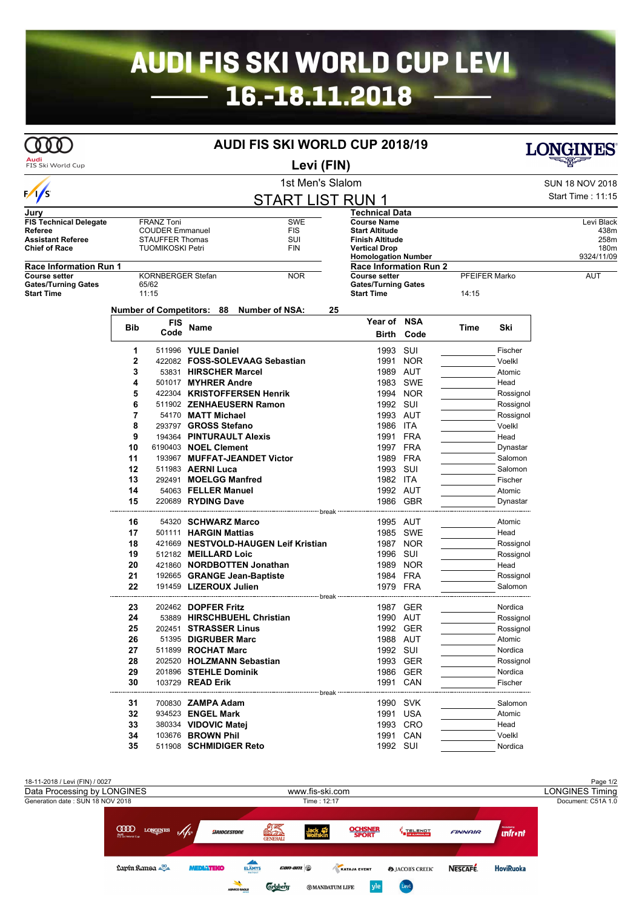## **AUDI FIS SKI WORLD CUP LEVI** 16.-18.11.2018

## **AUDI FIS SKI WORLD CUP 2018/19**

**Audi**<br>FIS Ski World Cup

ത്ത

**Levi (FIN)**

|                                    |                   |                                       |                             | 1st Men's Slalom                                |               |                                                    |               |       |            | <b>SUN 18 NOV 2018</b>   |  |
|------------------------------------|-------------------|---------------------------------------|-----------------------------|-------------------------------------------------|---------------|----------------------------------------------------|---------------|-------|------------|--------------------------|--|
| $\sqrt{s}$                         |                   |                                       |                             | <b>START LIST RUN</b>                           |               |                                                    |               |       |            | <b>Start Time: 11:15</b> |  |
| Jurv                               |                   |                                       |                             |                                                 |               | Technical Data                                     |               |       |            |                          |  |
| <b>FIS Technical Delegate</b>      | <b>FRANZ Toni</b> |                                       | SWE                         | <b>Course Name</b>                              |               |                                                    |               |       | Levi Black |                          |  |
| Referee                            |                   | <b>COUDER Emmanuel</b>                |                             | <b>FIS</b>                                      |               | <b>Start Altitude</b>                              |               |       |            | 438m                     |  |
| Assistant Referee                  |                   | <b>STAUFFER Thomas</b>                |                             | SUI                                             |               | <b>Finish Altitude</b>                             |               |       |            | 258m                     |  |
| Chief of Race                      |                   | <b>TUOMIKOSKI Petri</b><br><b>FIN</b> |                             |                                                 |               | <b>Vertical Drop</b><br><b>Homologation Number</b> |               |       |            | 180m<br>9324/11/09       |  |
| Race Information Run 1             |                   |                                       |                             |                                                 |               | <b>Race Information Run 2</b>                      |               |       |            |                          |  |
| Course setter<br>KORNBERGER Stefan |                   |                                       | <b>NOR</b>                  |                                                 | Course setter |                                                    | PFEIFER Marko |       | AUT        |                          |  |
| <b>Gates/Turning Gates</b>         | 65/62<br>11:15    |                                       |                             |                                                 |               | <b>Gates/Turning Gates</b><br><b>Start Time</b>    |               |       |            |                          |  |
| <b>Start Time</b>                  |                   |                                       |                             |                                                 |               |                                                    |               | 14:15 |            |                          |  |
|                                    |                   |                                       |                             | Number of Competitors: 88 Number of NSA:        | 25            |                                                    |               |       |            |                          |  |
|                                    | Bib               | FIS                                   | Name                        |                                                 |               | Year of NSA                                        |               | Time  | Ski        |                          |  |
|                                    |                   | Code                                  |                             |                                                 |               | Birth                                              | Code          |       |            |                          |  |
|                                    | 1                 |                                       | 511996 YULE Daniel          |                                                 |               | 1993 SUI                                           |               |       | Fischer    |                          |  |
|                                    | 2                 |                                       |                             | 422082 FOSS-SOLEVAAG Sebastian                  |               |                                                    | 1991 NOR      |       | Voelkl     |                          |  |
|                                    | 3                 |                                       | 53831 HIRSCHER Marcel       |                                                 |               | 1989 AUT                                           |               |       | Atomic     |                          |  |
|                                    | 4                 |                                       | 501017 MYHRER Andre         |                                                 |               | 1983                                               | SWE           |       | Head       |                          |  |
|                                    | 5                 |                                       |                             | 422304 KRISTOFFERSEN Henrik                     |               |                                                    | 1994 NOR      |       | Rossignol  |                          |  |
|                                    | 6                 |                                       |                             | 511902 ZENHAEUSERN Ramon                        |               | 1992 SUI                                           |               |       | Rossignol  |                          |  |
|                                    | 7                 |                                       | 54170 MATT Michael          |                                                 |               | 1993 AUT                                           |               |       | Rossignol  |                          |  |
|                                    | 8                 |                                       | 293797 GROSS Stefano        |                                                 |               | 1986 ITA                                           |               |       | Voelkl     |                          |  |
|                                    | 9                 |                                       |                             | 194364 PINTURAULT Alexis                        |               | 1991 FRA                                           |               |       | Head       |                          |  |
|                                    | 10                |                                       | 6190403 <b>NOEL Clement</b> |                                                 |               | 1997 FRA                                           |               |       | Dynastar   |                          |  |
|                                    | 11                |                                       |                             | 193967 MUFFAT-JEANDET Victor                    |               | 1989 FRA                                           |               |       | Salomon    |                          |  |
|                                    | 12                |                                       | 511983 AERNI Luca           |                                                 |               | 1993 SUI                                           |               |       | Salomon    |                          |  |
|                                    | 13                |                                       | 292491 MOELGG Manfred       |                                                 |               | 1982 ITA                                           |               |       | Fischer    |                          |  |
|                                    | 14                |                                       | 54063 FELLER Manuel         |                                                 |               | 1992 AUT                                           |               |       | Atomic     |                          |  |
|                                    | 15                |                                       | 220689 RYDING Dave          |                                                 |               |                                                    | 1986 GBR      |       | Dynastar   |                          |  |
|                                    |                   |                                       |                             | ---------------------------- break ------------ |               |                                                    |               |       |            |                          |  |
|                                    | 16                |                                       | 54320 SCHWARZ Marco         |                                                 |               | 1995 AUT                                           |               |       | Atomic     |                          |  |
|                                    | 17                |                                       | 501111 HARGIN Mattias       |                                                 |               |                                                    | 1985 SWE      |       | Head       |                          |  |
|                                    | 18                |                                       |                             | 421669 NESTVOLD-HAUGEN Leif Kristian            |               |                                                    | 1987 NOR      |       | Rossignol  |                          |  |
|                                    | 19                |                                       | 512182 MEILLARD Loic        |                                                 |               | 1996 SUI                                           |               |       | Rossignol  |                          |  |
|                                    | 20                |                                       |                             | 421860 NORDBOTTEN Jonathan                      |               |                                                    | 1989 NOR      |       | Head       |                          |  |
|                                    | 21                |                                       |                             | 192665 GRANGE Jean-Baptiste                     |               | 1984 FRA                                           |               |       | Rossignol  |                          |  |
|                                    | 22                |                                       | 191459 LIZEROUX Julien      |                                                 |               | 1979 FRA                                           |               |       | Salomon    |                          |  |
|                                    |                   |                                       |                             |                                                 |               |                                                    |               |       |            |                          |  |
|                                    | 23                |                                       | 202462 <b>DOPFER Fritz</b>  |                                                 |               |                                                    | 1987 GER      |       | Nordica    |                          |  |
|                                    | 24                |                                       |                             | 53889 HIRSCHBUEHL Christian                     |               | 1990 AUT                                           |               |       | Rossignol  |                          |  |
|                                    | 25                |                                       | 202451 STRASSER Linus       |                                                 |               |                                                    | 1992 GER      |       | Rossignol  |                          |  |
|                                    | 26                |                                       | 51395 DIGRUBER Marc         |                                                 |               | 1988 AUT                                           |               |       | Atomic     |                          |  |
|                                    | 27                |                                       | 511899 ROCHAT Marc          |                                                 |               | 1992 SUI                                           |               |       | Nordica    |                          |  |
|                                    | 28                |                                       |                             | 202520 HOLZMANN Sebastian                       |               |                                                    | 1993 GER      |       | Rossignol  |                          |  |
|                                    | 29                |                                       | 201896 STEHLE Dominik       |                                                 |               |                                                    | 1986 GER      |       | Nordica    |                          |  |
|                                    | 30                |                                       | 103729 READ Erik            |                                                 |               | 1991 CAN                                           |               |       | Fischer    |                          |  |
|                                    |                   |                                       |                             |                                                 |               |                                                    |               |       |            |                          |  |
|                                    | 31                |                                       | 700830 <b>ZAMPA Adam</b>    |                                                 |               | 1990 SVK                                           |               |       | Salomon    |                          |  |
|                                    | 32                |                                       | 934523 <b>ENGEL Mark</b>    |                                                 |               | 1991 USA                                           |               |       | Atomic     |                          |  |
|                                    | 33                |                                       | 380334 VIDOVIC Matej        |                                                 |               |                                                    | 1993 CRO      |       | Head       |                          |  |
|                                    | 34                |                                       | 103676 BROWN Phil           |                                                 |               | 1991 CAN                                           |               |       | Voelkl     |                          |  |
|                                    | 35                |                                       | 511908 SCHMIDIGER Reto      |                                                 |               | 1992 SUI                                           |               |       | Nordica    |                          |  |